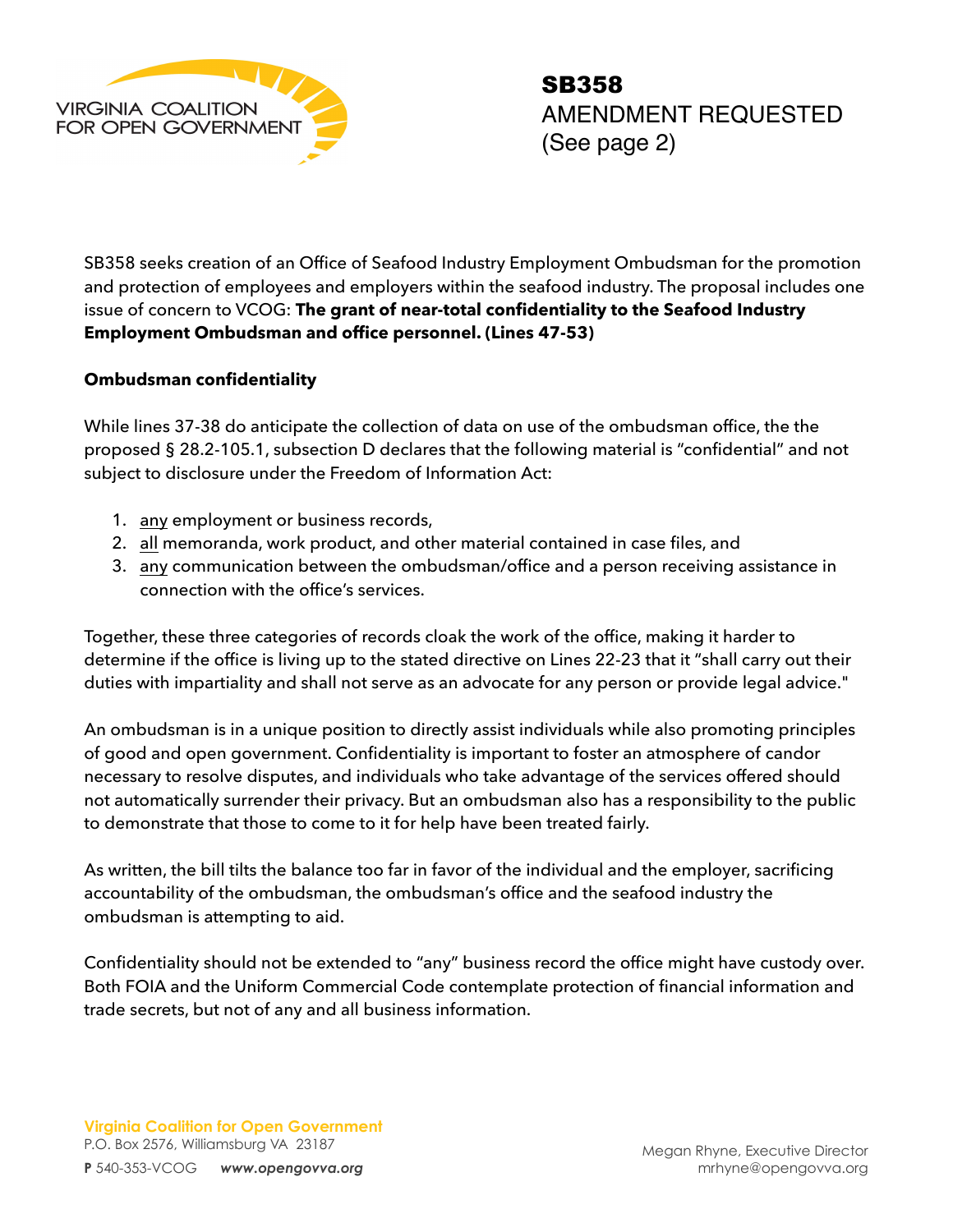

SB358 seeks creation of an Office of Seafood Industry Employment Ombudsman for the promotion and protection of employees and employers within the seafood industry. The proposal includes one issue of concern to VCOG: **The grant of near-total confidentiality to the Seafood Industry Employment Ombudsman and office personnel. (Lines 47-53)**

## **Ombudsman confidentiality**

While lines 37-38 do anticipate the collection of data on use of the ombudsman office, the the proposed § 28.2-105.1, subsection D declares that the following material is "confidential" and not subject to disclosure under the Freedom of Information Act:

- 1. any employment or business records,
- 2. all memoranda, work product, and other material contained in case files, and
- 3. any communication between the ombudsman/office and a person receiving assistance in connection with the office's services.

Together, these three categories of records cloak the work of the office, making it harder to determine if the office is living up to the stated directive on Lines 22-23 that it "shall carry out their duties with impartiality and shall not serve as an advocate for any person or provide legal advice."

An ombudsman is in a unique position to directly assist individuals while also promoting principles of good and open government. Confidentiality is important to foster an atmosphere of candor necessary to resolve disputes, and individuals who take advantage of the services offered should not automatically surrender their privacy. But an ombudsman also has a responsibility to the public to demonstrate that those to come to it for help have been treated fairly.

As written, the bill tilts the balance too far in favor of the individual and the employer, sacrificing accountability of the ombudsman, the ombudsman's office and the seafood industry the ombudsman is attempting to aid.

Confidentiality should not be extended to "any" business record the office might have custody over. Both FOIA and the Uniform Commercial Code contemplate protection of financial information and trade secrets, but not of any and all business information.